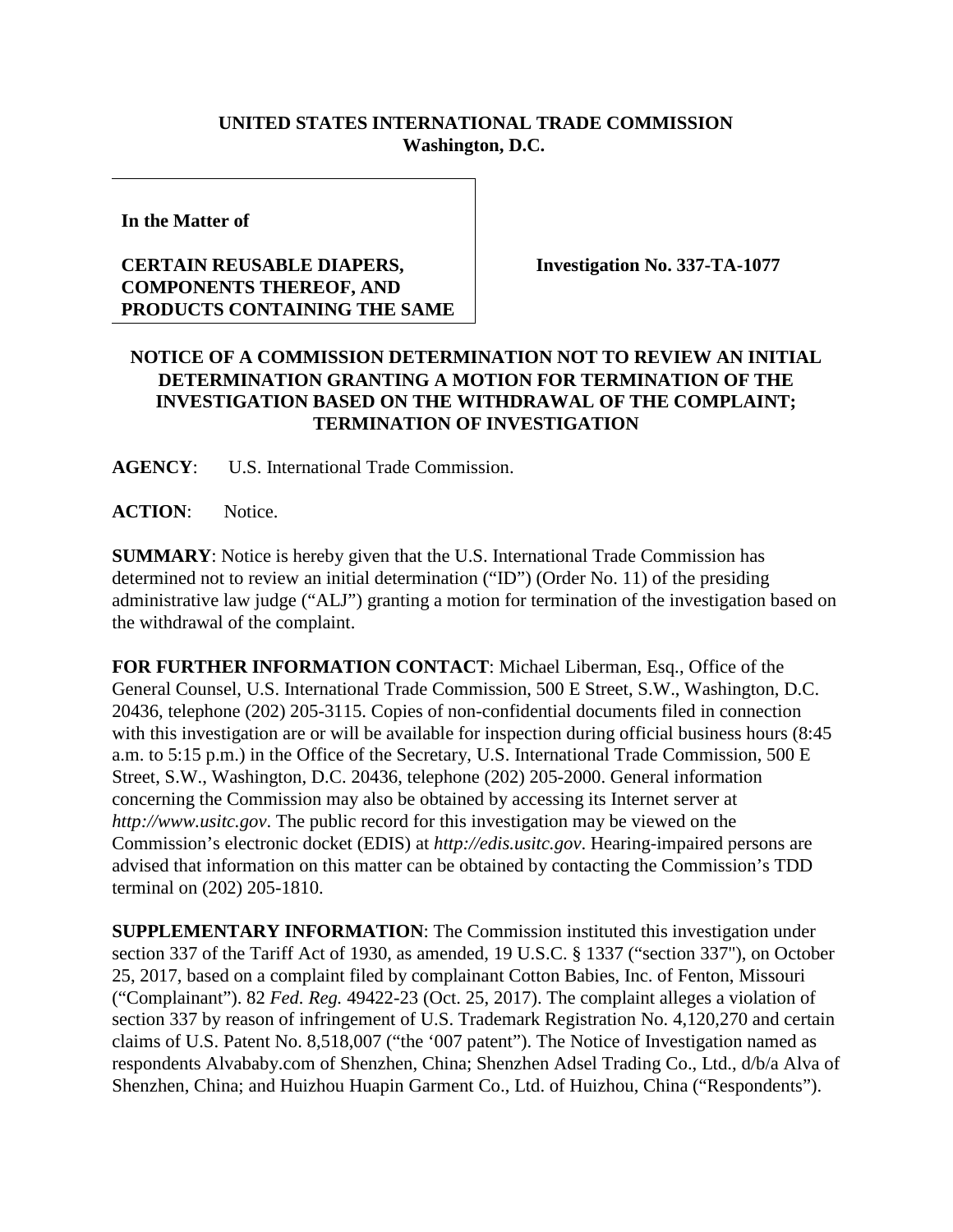## **UNITED STATES INTERNATIONAL TRADE COMMISSION Washington, D.C.**

**In the Matter of**

## **CERTAIN REUSABLE DIAPERS, COMPONENTS THEREOF, AND PRODUCTS CONTAINING THE SAME**

**Investigation No. 337-TA-1077**

## **NOTICE OF A COMMISSION DETERMINATION NOT TO REVIEW AN INITIAL DETERMINATION GRANTING A MOTION FOR TERMINATION OF THE INVESTIGATION BASED ON THE WITHDRAWAL OF THE COMPLAINT; TERMINATION OF INVESTIGATION**

**AGENCY**: U.S. International Trade Commission.

ACTION: Notice.

**SUMMARY**: Notice is hereby given that the U.S. International Trade Commission has determined not to review an initial determination ("ID") (Order No. 11) of the presiding administrative law judge ("ALJ") granting a motion for termination of the investigation based on the withdrawal of the complaint.

**FOR FURTHER INFORMATION CONTACT**: Michael Liberman, Esq., Office of the General Counsel, U.S. International Trade Commission, 500 E Street, S.W., Washington, D.C. 20436, telephone (202) 205-3115. Copies of non-confidential documents filed in connection with this investigation are or will be available for inspection during official business hours (8:45 a.m. to 5:15 p.m.) in the Office of the Secretary, U.S. International Trade Commission, 500 E Street, S.W., Washington, D.C. 20436, telephone (202) 205-2000. General information concerning the Commission may also be obtained by accessing its Internet server at *[http://www.usitc.gov](http://www.usitc.gov/)*. The public record for this investigation may be viewed on the Commission's electronic docket (EDIS) at *[http://edis.usitc.gov](http://edis.usitc.gov/)*. Hearing-impaired persons are advised that information on this matter can be obtained by contacting the Commission's TDD terminal on (202) 205-1810.

**SUPPLEMENTARY INFORMATION**: The Commission instituted this investigation under section 337 of the Tariff Act of 1930, as amended, 19 U.S.C. § 1337 ("section 337"), on October 25, 2017, based on a complaint filed by complainant Cotton Babies, Inc. of Fenton, Missouri ("Complainant"). 82 *Fed. Reg.* 49422-23 (Oct. 25, 2017). The complaint alleges a violation of section 337 by reason of infringement of U.S. Trademark Registration No. 4,120,270 and certain claims of U.S. Patent No. 8,518,007 ("the '007 patent"). The Notice of Investigation named as respondents Alvababy.com of Shenzhen, China; Shenzhen Adsel Trading Co., Ltd., d/b/a Alva of Shenzhen, China; and Huizhou Huapin Garment Co., Ltd. of Huizhou, China ("Respondents").